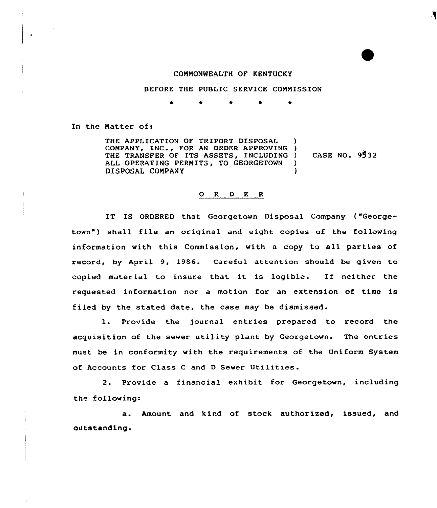## COMMONWEALTH OF KENTUCKY

BEFORE THE PUBLIC SERVICE COMMISSION

\* \* 0 \*

In the Natter of:

THE APPLICATION QF TRIPORT DISPOSAL COMPANY, INC , FOR AN ORDER APPROVING ) THE TRANSFER OF ITS ASSETS, INCLUDING ) ALL OPERATING PERNITS, TO GEORGETOWN DISPOSAL CONPANY ) ) CASE NO. 95 32  $\lambda$ 

## O R D E R

IT IS ORDERED that Georgetown Disposal Company {"Georgetown") shall file an original and eight copies of the following information with this Commission, with a copy to all parties of record, by April 9, 1986. Careful attention should be given to copied material to insure that it is legible. If neither the requested information nor a motion for an extension of time is filed by the stated date, the case may be dismissed'.

 $1.$ Provide the journal entries prepared to record the acquisition of the sewer utility plant by Georgetown. The entries must be in conformity with the requirements of the Uniform System of Accounts for Class <sup>C</sup> and <sup>D</sup> Sewer Utilities.

2. Provide a financial exhibit for Georgetown, including the following:

a. Amount and kind of stock authorized, issued, and outstanding.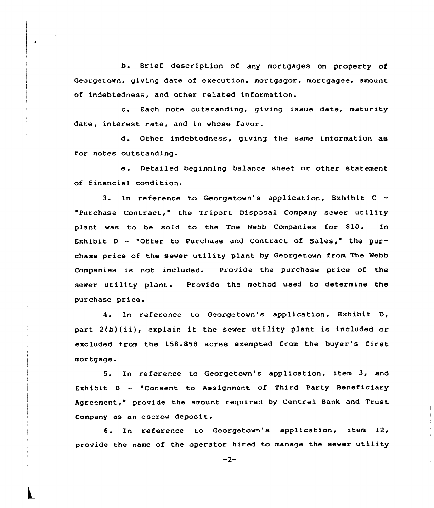b. Brief description of any mortgages on property of Georgetown, giving date of execution, mortgagor, mortgagee, amount of indebtedness, and other related information.

c. Each note outstanding, giving issue date, maturity date, interest rate, and in vhose favor.

d. Other indebtedness, giving the same information as for notes outstanding-

e. Detailed beginning balance sheet or other statement of financial condition.

3. In reference to Georgetown's application, Exhibit C -Purchase Contract," the Triport Disposal Company sewer utility plant was to be sold to the The Webb Companies for \$10. In Exhibit  $D -$  "Offer to Purchase and Contract of Sales," the purchase price of the sewer utility plant by Georgetown from The Webb Companies is not included. Provide the purchase price of the sever utility plant. Provide the method used to determine the purchase price.

4. In reference to Georgetovn's application, Exhibit D, part 2(b}(ii), explain if the sever utility plant is included or excluded from the 158.858 acres exempted from the buyer's first mortgage.

5. In reference to Georgetovn's application, item 3, and Exhibit <sup>B</sup> — "Consent to Assignment of Third Party Beneficiary Agreement," provide the amount required by Central Bank and Trust Company as an escrow deposit.

6. In reference to Georgetown's application, item 12, provide the name of the operator hired to manage the sewer utility

 $-2-$